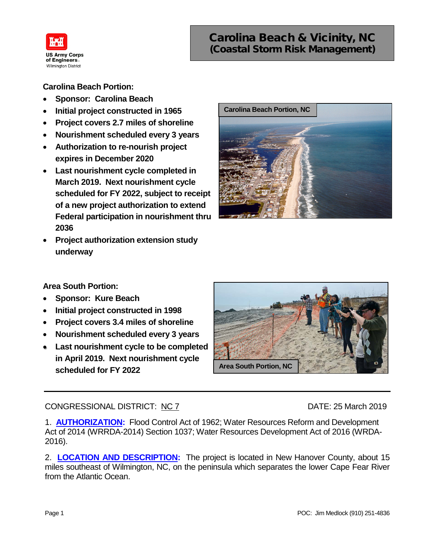

# Carolina Beach & Vicinity, NC (Coastal Storm Risk Management)

**Carolina Beach Portion:**

- **Sponsor: Carolina Beach**
- **Initial project constructed in 1965**
- **Project covers 2.7 miles of shoreline**
- **Nourishment scheduled every 3 years**
- **Authorization to re-nourish project expires in December 2020**
- **Last nourishment cycle completed in March 2019. Next nourishment cycle scheduled for FY 2022, subject to receipt of a new project authorization to extend Federal participation in nourishment thru 2036**
- **Project authorization extension study underway**



**Area South Portion:**

- **Sponsor: Kure Beach**
- **Initial project constructed in 1998**
- **Project covers 3.4 miles of shoreline**
- **Nourishment scheduled every 3 years**
- **Last nourishment cycle to be completed in April 2019. Next nourishment cycle scheduled for FY 2022**



## CONGRESSIONAL DISTRICT: NC 7 DATE: 25 March 2019

1. **AUTHORIZATION:** Flood Control Act of 1962; Water Resources Reform and Development Act of 2014 (WRRDA-2014) Section 1037; Water Resources Development Act of 2016 (WRDA-2016).

2. **LOCATION AND DESCRIPTION:** The project is located in New Hanover County, about 15 miles southeast of Wilmington, NC, on the peninsula which separates the lower Cape Fear River from the Atlantic Ocean.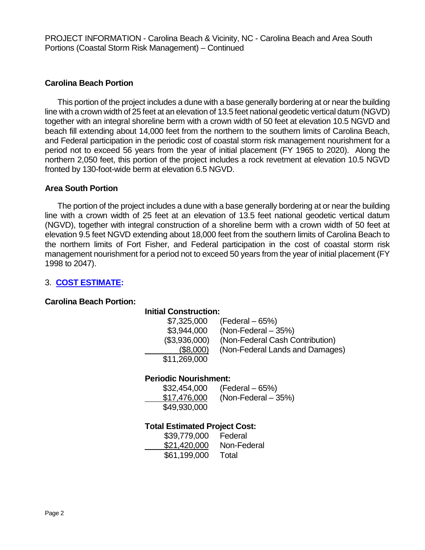PROJECT INFORMATION - Carolina Beach & Vicinity, NC - Carolina Beach and Area South Portions (Coastal Storm Risk Management) – Continued

## **Carolina Beach Portion**

This portion of the project includes a dune with a base generally bordering at or near the building line with a crown width of 25 feet at an elevation of 13.5 feet national geodetic vertical datum (NGVD) together with an integral shoreline berm with a crown width of 50 feet at elevation 10.5 NGVD and beach fill extending about 14,000 feet from the northern to the southern limits of Carolina Beach, and Federal participation in the periodic cost of coastal storm risk management nourishment for a period not to exceed 56 years from the year of initial placement (FY 1965 to 2020). Along the northern 2,050 feet, this portion of the project includes a rock revetment at elevation 10.5 NGVD fronted by 130-foot-wide berm at elevation 6.5 NGVD.

## **Area South Portion**

The portion of the project includes a dune with a base generally bordering at or near the building line with a crown width of 25 feet at an elevation of 13.5 feet national geodetic vertical datum (NGVD), together with integral construction of a shoreline berm with a crown width of 50 feet at elevation 9.5 feet NGVD extending about 18,000 feet from the southern limits of Carolina Beach to the northern limits of Fort Fisher, and Federal participation in the cost of coastal storm risk management nourishment for a period not to exceed 50 years from the year of initial placement (FY 1998 to 2047).

## 3. **COST ESTIMATE:**

#### **Carolina Beach Portion:**

## **Initial Construction:**

| \$7,325,000   | (Federal – 65%)                 |
|---------------|---------------------------------|
| \$3,944,000   | $(Non-Federal - 35%)$           |
| (\$3,936,000) | (Non-Federal Cash Contribution) |
| (\$8,000)     | (Non-Federal Lands and Damages) |
| \$11,269,000  |                                 |
|               |                                 |

#### **Periodic Nourishment:**

| \$32,454,000 | $(Federal - 65%)$     |
|--------------|-----------------------|
| \$17,476,000 | $(Non-Federal - 35%)$ |
| \$49,930,000 |                       |

## **Total Estimated Project Cost:**

| \$39,779,000 | Federal     |
|--------------|-------------|
| \$21,420,000 | Non-Federal |
| \$61,199,000 | Total       |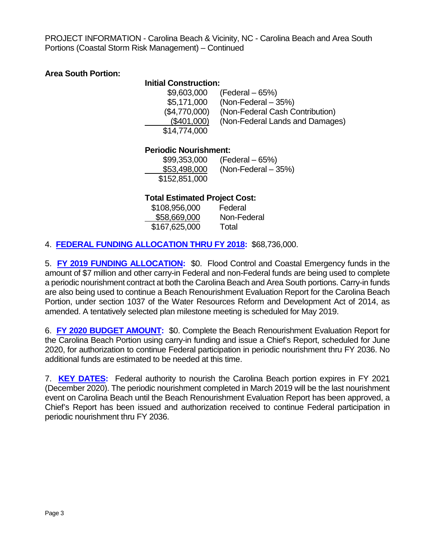PROJECT INFORMATION - Carolina Beach & Vicinity, NC - Carolina Beach and Area South Portions (Coastal Storm Risk Management) – Continued

## **Area South Portion:**

## **Initial Construction:**

| \$9,603,000   | $(Federal - 65%)$               |
|---------------|---------------------------------|
| \$5,171,000   | $(Non-Federal - 35%)$           |
| (\$4,770,000) | (Non-Federal Cash Contribution) |
| (\$401,000)   | (Non-Federal Lands and Damages) |
| \$14,774,000  |                                 |
|               |                                 |

## **Periodic Nourishment:**

| \$99,353,000  | $(Federal - 65%)$     |
|---------------|-----------------------|
| \$53,498,000  | $(Non-Federal - 35%)$ |
| \$152,851,000 |                       |

## **Total Estimated Project Cost:**

| \$108,956,000 | Federal     |
|---------------|-------------|
| \$58,669,000  | Non-Federal |
| \$167,625,000 | Total       |

4. **FEDERAL FUNDING ALLOCATION THRU FY 2018:** \$68,736,000.

5. **FY 2019 FUNDING ALLOCATION:** \$0. Flood Control and Coastal Emergency funds in the amount of \$7 million and other carry-in Federal and non-Federal funds are being used to complete a periodic nourishment contract at both the Carolina Beach and Area South portions. Carry-in funds are also being used to continue a Beach Renourishment Evaluation Report for the Carolina Beach Portion, under section 1037 of the Water Resources Reform and Development Act of 2014, as amended. A tentatively selected plan milestone meeting is scheduled for May 2019.

6. **FY 2020 BUDGET AMOUNT:** \$0. Complete the Beach Renourishment Evaluation Report for the Carolina Beach Portion using carry-in funding and issue a Chief's Report, scheduled for June 2020, for authorization to continue Federal participation in periodic nourishment thru FY 2036. No additional funds are estimated to be needed at this time.

7. **KEY DATES:** Federal authority to nourish the Carolina Beach portion expires in FY 2021 (December 2020). The periodic nourishment completed in March 2019 will be the last nourishment event on Carolina Beach until the Beach Renourishment Evaluation Report has been approved, a Chief's Report has been issued and authorization received to continue Federal participation in periodic nourishment thru FY 2036.